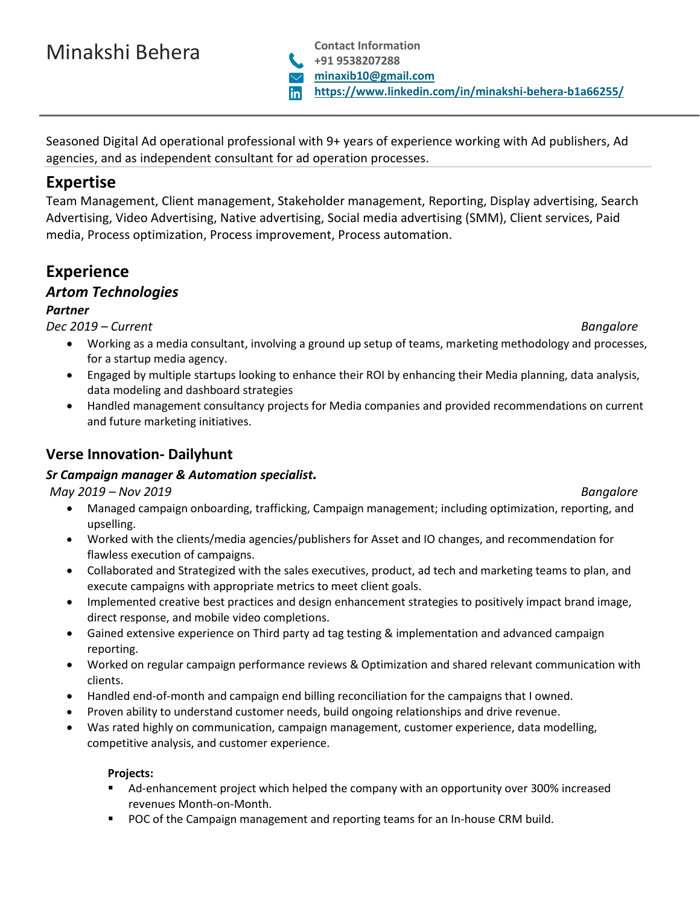# Minakshi Behera **Contact Information**

Seasoned Digital Ad operational professional with 9+ years of experience working with Ad publishers, Ad agencies, and as independent consultant for ad operation processes.

# **Expertise**

Team Management, Client management, Stakeholder management, Reporting, Display advertising, Search Advertising, Video Advertising, Native advertising, Social media advertising (SMM), Client services, Paid media, Process optimization, Process improvement, Process automation.

# **Experience**

## *Artom Technologies*

### *Partner*

*Dec 2019 – Current Bangalore*

- Working as a media consultant, involving a ground up setup of teams, marketing methodology and processes, for a startup media agency.
- Engaged by multiple startups looking to enhance their ROI by enhancing their Media planning, data analysis, data modeling and dashboard strategies
- Handled management consultancy projects for Media companies and provided recommendations on current and future marketing initiatives.

# **Verse Innovation- Dailyhunt**

### *Sr Campaign manager & Automation specialist.*

*May 2019 – Nov 2019 Bangalore*

- Managed campaign onboarding, trafficking, Campaign management; including optimization, reporting, and upselling.
- Worked with the clients/media agencies/publishers for Asset and IO changes, and recommendation for flawless execution of campaigns.
- Collaborated and Strategized with the sales executives, product, ad tech and marketing teams to plan, and execute campaigns with appropriate metrics to meet client goals.
- Implemented creative best practices and design enhancement strategies to positively impact brand image, direct response, and mobile video completions.
- Gained extensive experience on Third party ad tag testing & implementation and advanced campaign reporting.
- Worked on regular campaign performance reviews & Optimization and shared relevant communication with clients.
- Handled end-of-month and campaign end billing reconciliation for the campaigns that I owned.
- Proven ability to understand customer needs, build ongoing relationships and drive revenue.
- Was rated highly on communication, campaign management, customer experience, data modelling, competitive analysis, and customer experience.

### **Projects:**

- Ad-enhancement project which helped the company with an opportunity over 300% increased revenues Month-on-Month.
- POC of the Campaign management and reporting teams for an In-house CRM build.